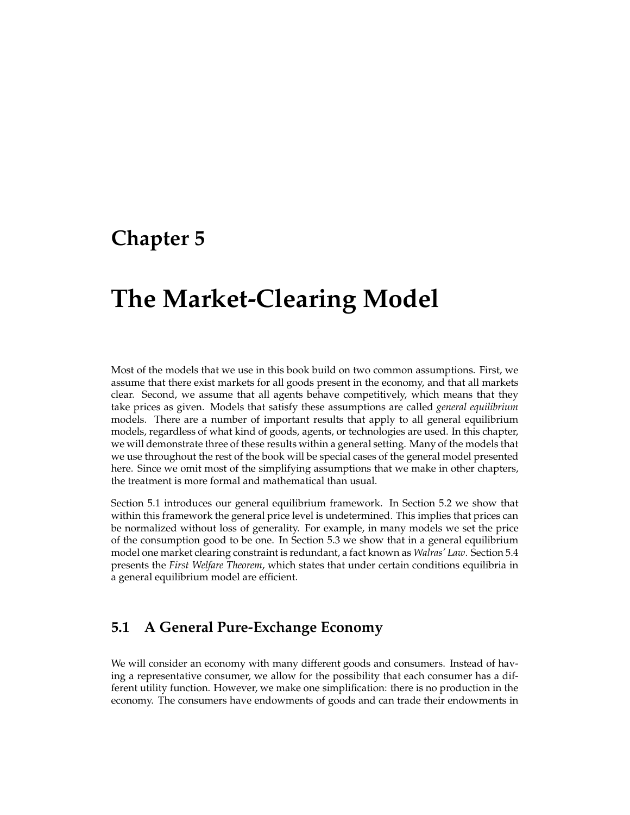## **Chapter 5**

# **The Market-Clearing Model**

Most of the models that we use in this book build on two common assumptions. First, we assume that there exist markets for all goods present in the economy, and that all markets clear. Second, we assume that all agents behave competitively, which means that they take prices as given. Models that satisfy these assumptions are called *general equilibrium* models. There are a number of important results that apply to all general equilibrium models, regardless of what kind of goods, agents, or technologies are used. In this chapter, we will demonstrate three of these results within a general setting. Many of the models that we use throughout the rest of the book will be special cases of the general model presented here. Since we omit most of the simplifying assumptions that we make in other chapters, the treatment is more formal and mathematical than usual.

Section 5.1 introduces our general equilibrium framework. In Section 5.2 we show that within this framework the general price level is undetermined. This implies that prices can be normalized without loss of generality. For example, in many models we set the price of the consumption good to be one. In Section 5.3 we show that in a general equilibrium model one market clearing constraint is redundant, a fact known as *Walras' Law*. Section 5 .4 presents the *First Welfare Theorem*, which states that under certain conditions equilibria in a general equilibrium model are efficient.

## **5.1 A General Pure-Exchange Economy**

We will consider an economy with many different goods and consumers. Instead of having a representative consumer, we allow for the possibility that each consumer has a different utility function. However, we make one simplification: there is no production in the economy. The consumers have endowments of goods and can trade their endowments in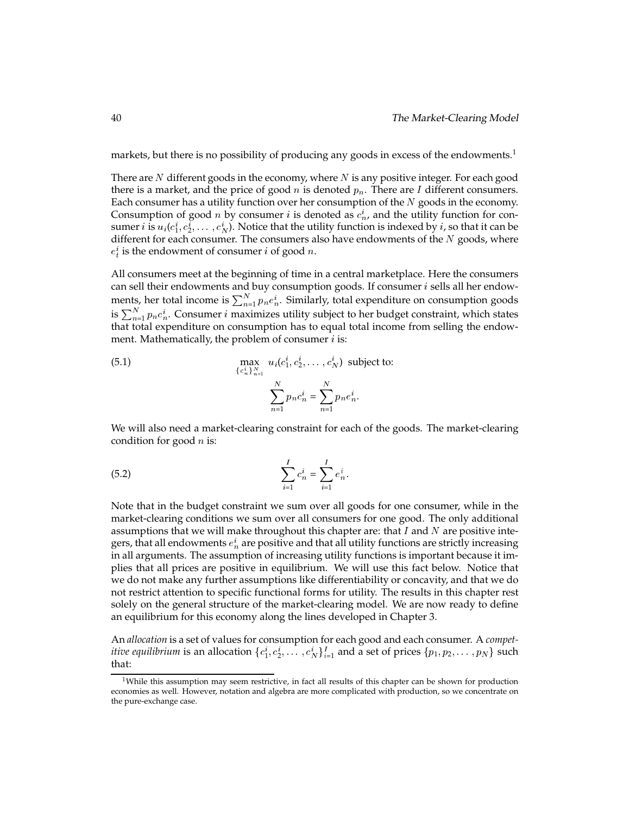markets, but there is no possibility of producing any goods in excess of the endowments.<sup>1</sup>

There are  $N$  different goods in the economy, where  $N$  is any positive integer. For each good there is a market, and the price of good *n* is denoted  $p_n$ . There are *I* different consumers. Each consumer has a utility function over her consumption of the  $N$  goods in the economy. Consumption of good *n* by consumer *i* is denoted as  $c_n^i$ , and the utility function for consumer *i* is  $u_i(c_1^i, c_2^i, \ldots, c_N^i)$ . Notice that the utility function is indexed by *i*, so that it can be different for each consumer. The consumers also have endowments of the  $N$  goods, where  $e_t^i$  is the endowment of consumer  $i$  of good  $n$ .

All consumers meet at the beginning of time in a central marketplace. Here the consumers can sell their endowments and buy consumption goods. If consumer  $i$  sells all her endowments, her total income is  $\sum_{n=1}^{N} p_n e_n^i$ . Similarly, total expenditure on consumption goods is  $\sum_{n=1}^N p_n c_n^i$ . Consumer  $i$  maximizes utility subject to her budget constraint, which states that total expenditure on consumption has to equal total income from selling the endowment. Mathematically, the problem of consumer  $i$  is:

(5.1) 
$$
\max_{\{c_n^i\}_{n=1}^N} u_i(c_1^i, c_2^i, \dots, c_N^i) \text{ subject to:}
$$

$$
\sum_{n=1}^N p_n c_n^i = \sum_{n=1}^N p_n e_n^i.
$$

We will also need a market-clearing constraint for each of the goods. The market-clearing condition for good  $n$  is:

(5.2) 
$$
\sum_{i=1}^{I} c_n^i = \sum_{i=1}^{I} e_n^i.
$$

Note that in the budget constraint we sum over all goods for one consumer, while in the market-clearing conditions we sum over all consumers for one good. The only additional assumptions that we will make throughout this chapter are: that  $I$  and  $N$  are positive integers, that all endowments  $e_n^i$  are positive and that all utility functions are strictly increasing in all arguments. The assumption of increasing utility functions is important because it implies that all prices are positive in equilibrium. We will use this fact below. Notice that we do not make any further assumptions like differentiability or concavity, and that we do not restrict attention to specific functional forms for utility. The results in this chapter rest solely on the general structure of the market-clearing model. We are now ready to define an equilibrium for this economy along the lines developed in Chapter 3.

An *allocation* is a set of values for consumption for each good and each consumer. A *competitive equilibrium* is an allocation  $\{c_1^i, c_2^i, \ldots, c_N^i\}_{i=1}^I$  and a set of prices  $\{p_1, p_2, \ldots, p_N\}$  such that:

<sup>&</sup>lt;sup>1</sup>While this assumption may seem restrictive, in fact all results of this chapter can be shown for production economies as well. However, notation and algebra are more complicated with production, so we concentrate on the pure-exchange case.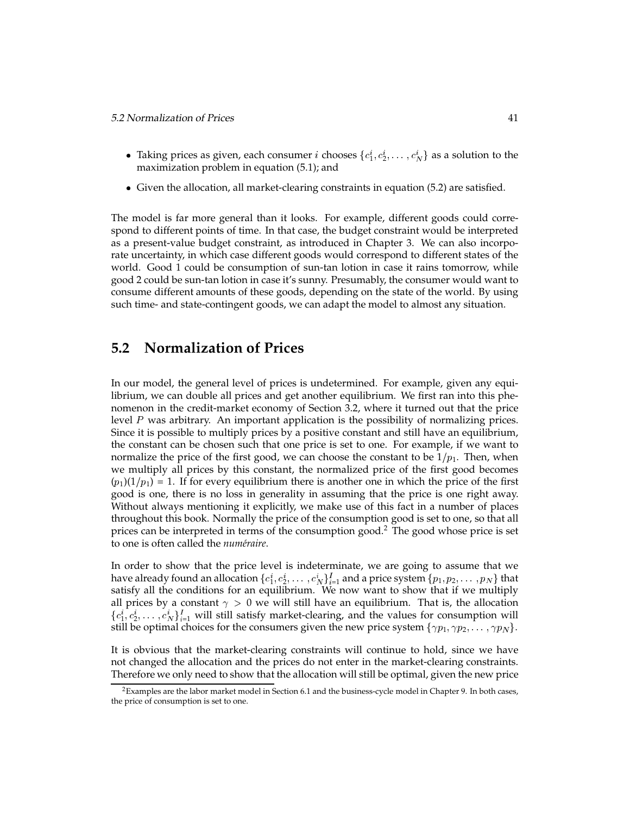- Taking prices as given, each consumer i chooses  $\{c_1^i, c_2^i, \ldots, c_N^i\}$  as a solution to the maximization problem in equation (5.1); and
- Given the allocation, all market-clearing constraints in equation (5.2) are satisfied.

The model is far more general than it looks. For example, different goods could correspond to different points of time. In that case, the budget constraint would be interpreted as a present-value budget constraint, as introduced in Chapter 3. We can also incorporate uncertainty, in which case different goods would correspond to different states of the world. Good 1 could be consumption of sun-tan lotion in case it rains tomorrow, while good 2 could be sun-tan lotion in case it's sunny. Presumably, the consumer would want to consume different amounts of these goods, depending on the state of the world. By using such time- and state-contingent goods, we can adapt the model to almost any situation.

#### **5.2 Normalization of Prices**

In our model, the general level of prices is undetermined. For example, given any equilibrium, we can double all prices and get another equilibrium. We first ran into this phenomenon in the credit-market economy of Section 3.2, where it turned out that the price level <sup>P</sup> was arbitrary. An important application is the possibility of normalizing prices. Since it is possible to multiply prices by a positive constant and still have an equilibrium, the constant can be chosen such that one price is set to one. For example, if we want to normalize the price of the first good, we can choose the constant to be  $1/p_1$ . Then, when we multiply all prices by this constant, the normalized price of the first good becomes  $(p_1)(1/p_1) = 1$ . If for every equilibrium there is another one in which the price of the first good is one, there is no loss in generality in assuming that the price is one right away. Without always mentioning it explicitly, we make use of this fact in a number of places throughout this book. Normally the price of the consumption good is set to one, so that all prices can be interpreted in terms of the consumption good.<sup>2</sup> The good whose price is set to one is often called the *numéraire*.

In order to show that the price level is indeterminate, we are going to assume that we have already found an allocation  $\{c_1^i, c_2^i, \ldots, c_N^i\}_{i=1}^I$  and a price system  $\{p_1, p_2, \ldots, p_N\}$  that satisfy all the conditions for an equilibrium. We now want to show that if we multiply all prices by a constant  $\gamma > 0$  we will still have an equilibrium. That is, the allocation  $\{c_1^i, c_2^i, \ldots, c_N^i\}_{i=1}^I$  will still satisfy market-clearing, and the values for consumption will still be optimal choices for the consumers given the new price system  $\{\gamma p_1, \gamma p_2, \dots, \gamma p_N\}$ .

It is obvious that the market-clearing constraints will continue to hold, since we have not changed the allocation and the prices do not enter in the market-clearing constraints. Therefore we only need to show that the allocation will still be optimal, given the new price

 ${}^{2}$ Examples are the labor market model in Section 6.1 and the business-cycle model in Chapter 9. In both cases, the price of consumption is set to one.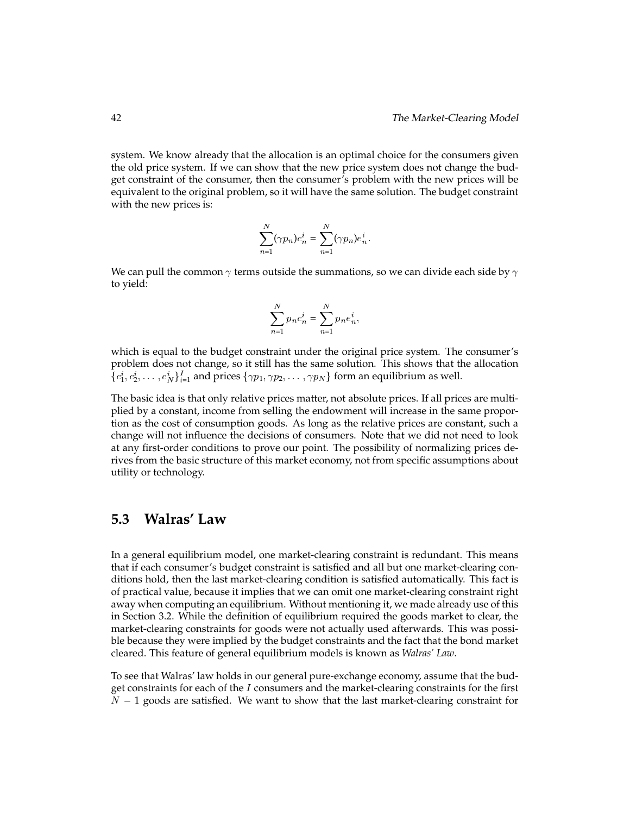system. We know already that the allocation is an optimal choice for the consumers given the old price system. If we can show that the new price system does not change the budget constraint of the consumer, then the consumer's problem with the new prices will be equivalent to the original problem, so it will have the same solution. The budget constraint with the new prices is:

$$
\sum_{n=1}^N (\gamma p_n) c_n^i = \sum_{n=1}^N (\gamma p_n) e_n^i.
$$

We can pull the common  $\gamma$  terms outside the summations, so we can divide each side by  $\gamma$ to yield:

$$
\sum_{n=1}^N p_n c_n^i = \sum_{n=1}^N p_n e_n^i,
$$

which is equal to the budget constraint under the original price system. The consumer's problem does not change, so it still has the same solution. This shows that the allocation  $\{c_1^i, c_2^i, \dots, c_N^i\}_{i=1}^I$  and prices  $\{\gamma p_1, \gamma p_2, \dots, \gamma p_N\}$  form an equilibrium as well.

The basic idea is that only relative prices matter, not absolute prices. If all prices are multiplied by a constant, income from selling the endowment will increase in the same proportion as the cost of consumption goods. As long as the relative prices are constant, such a change will not influence the decisions of consumers. Note that we did not need to look at any first-order conditions to prove our point. The possibility of normalizing prices derives from the basic structure of this market economy, not from specific assumptions about utility or technology.

#### **5.3 Walras' Law**

In a general equilibrium model, one market-clearing constraint is redundant. This means that if each consumer's budget constraint is satisfied and all but one market-clearing conditions hold, then the last market-clearing condition is satisfied automatically. This fact is of practical value, because it implies that we can omit one market-clearing constraint right away when computing an equilibrium. Without mentioning it, we made already use of this in Section 3.2. While the definition of equilibrium required the goods market to clear, the market-clearing constraints for goods were not actually used afterwards. This was possible because they were implied by the budget constraints and the fact that the bond market cleared. This feature of general equilibrium models is known as *Walras' Law*.

To see that Walras' law holds in our general pure-exchange economy, assume that the budget constraints for each of the <sup>I</sup> consumers and the market-clearing constraints for the first  $N-1$  goods are satisfied. We want to show that the last market-clearing constraint for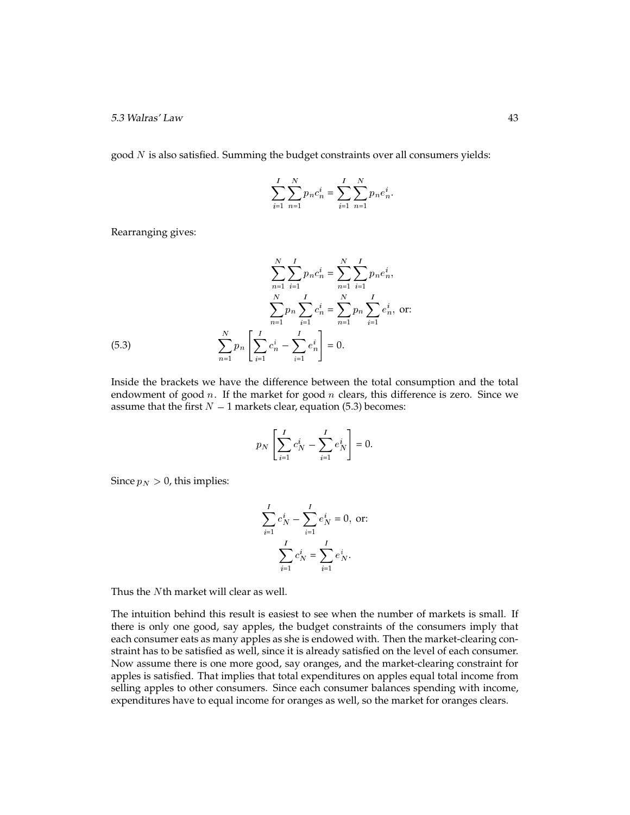good  $N$  is also satisfied. Summing the budget constraints over all consumers yields:

$$
\sum_{i=1}^{I} \sum_{n=1}^{N} p_n c_n^i = \sum_{i=1}^{I} \sum_{n=1}^{N} p_n e_n^i.
$$

Rearranging gives:

(5.3) 
$$
\sum_{n=1}^{N} \sum_{i=1}^{I} p_n c_n^i = \sum_{n=1}^{N} \sum_{i=1}^{I} p_n e_n^i,
$$

$$
\sum_{n=1}^{N} p_n \sum_{i=1}^{I} c_n^i = \sum_{n=1}^{N} p_n \sum_{i=1}^{I} e_n^i, \text{ or:}
$$

$$
\sum_{n=1}^{N} p_n \left[ \sum_{i=1}^{I} c_n^i - \sum_{i=1}^{I} e_n^i \right] = 0.
$$

Inside the brackets we have the difference between the total consumption and the total endowment of good  $n$ . If the market for good  $n$  clears, this difference is zero. Since we assume that the first  $N - 1$  markets clear, equation (5.3) becomes:

$$
p_N \left[ \sum_{i=1}^I c_N^i - \sum_{i=1}^I e_N^i \right] = 0.
$$

Since  $p_N > 0$ , this implies:

$$
\sum_{i=1}^{I} c_N^i - \sum_{i=1}^{I} e_N^i = 0, \text{ or:}
$$

$$
\sum_{i=1}^{I} c_N^i = \sum_{i=1}^{I} e_N^i.
$$

Thus the <sup>N</sup>th market will clear as well.

The intuition behind this result is easiest to see when the number of markets is small. If there is only one good, say apples, the budget constraints of the consumers imply that each consumer eats as many apples as she is endowed with. Then the market-clearing constraint has to be satisfied as well, since it is already satisfied on the level of each consumer. Now assume there is one more good, say oranges, and the market-clearing constraint for apples is satisfied. That implies that total expenditures on apples equal total income from selling apples to other consumers. Since each consumer balances spending with income, expenditures have to equal income for oranges as well, so the market for oranges clears.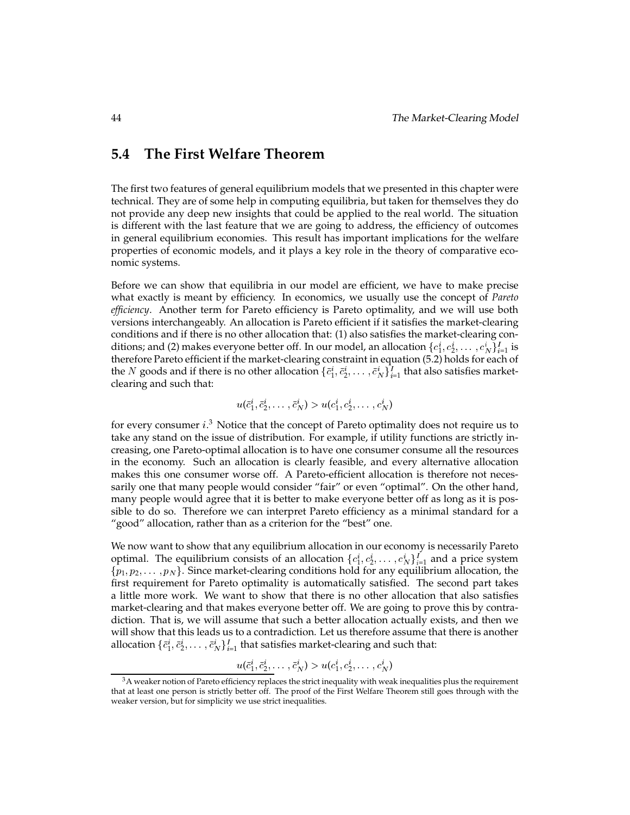### **5.4 The First Welfare Theorem**

The first two features of general equilibrium models that we presented in this chapter were technical. They are of some help in computing equilibria, but taken for themselves they do not provide any deep new insights that could be applied to the real world. The situation is different with the last feature that we are going to address, the efficiency of outcomes in general equilibrium economies. This result has important implications for the welfare properties of economic models, and it plays a key role in the theory of comparative economic systems.

Before we can show that equilibria in our model are efficient, we have to make precise what exactly is meant by efficiency. In economics, we usually use the concept of *Pareto efficiency*. Another term for Pareto efficiency is Pareto optimality, and we will use both versions interchangeably. An allocation is Pareto efficient if it satisfies the market-clearing conditions and if there is no other allocation that: (1) also satisfies the market-clearing conditions; and (2) makes everyone better off. In our model, an allocation  $\{c_1^i, c_2^i, \ldots, c_N^i\}_{i=1}^I$  is therefore Pareto efficient if the market-clearing constraint in equation (5.2) holds for each of the  $N$  goods and if there is no other allocation  $\{\bar{c}_1^i, \bar{c}_2^i, \ldots, \bar{c}_N^i\}_{i=1}^I$  that also satisfies marketclearing and such that:

$$
u(\bar{c}_1^i,\bar{c}_2^i,\dotsc,\bar{c}_N^i)>u(c_1^i,c_2^i,\dotsc,c_N^i)
$$

for every consumer  $i$ .<sup>3</sup> Notice that the concept of Pareto optimality does not require us to take any stand on the issue of distribution. For example, if utility functions are strictly increasing, one Pareto-optimal allocation is to have one consumer consume all the resources in the economy. Such an allocation is clearly feasible, and every alternative allocation makes this one consumer worse off. A Pareto-efficient allocation is therefore not necessarily one that many people would consider "fair" or even "optimal". On the other hand, many people would agree that it is better to make everyone better off as long as it is possible to do so. Therefore we can interpret Pareto efficiency as a minimal standard for a "good" allocation, rather than as a criterion for the "best" one.

We now want to show that any equilibrium allocation in our economy is necessarily Pareto optimal. The equilibrium consists of an allocation  $\{c_1^i, c_2^i, \ldots, c_N^i\}_{i=1}^I$  and a price system  $\{p_1, p_2, \ldots, p_N\}$ . Since market-clearing conditions hold for any equilibrium allocation, the first requirement for Pareto optimality is automatically satisfied. The second part takes a little more work. We want to show that there is no other allocation that also satisfies market-clearing and that makes everyone better off. We are going to prove this by contradiction. That is, we will assume that such a better allocation actually exists, and then we will show that this leads us to a contradiction. Let us therefore assume that there is another allocation  $\{\bar{c}_1^i, \bar{c}_2^i, \dots, \bar{c}_N^i\}_{i=1}^I$  that satisfies market-clearing and such that:

$$
u(\bar{c}_1^i, \bar{c}_2^i, \ldots, \bar{c}_N^i) > u(c_1^i, c_2^i, \ldots, c_N^i)
$$

 $3A$  weaker notion of Pareto efficiency replaces the strict inequality with weak inequalities plus the requirement that at least one person is strictly better off. The proof of the First Welfare Theorem still goes through with the weaker version, but for simplicity we use strict inequalities.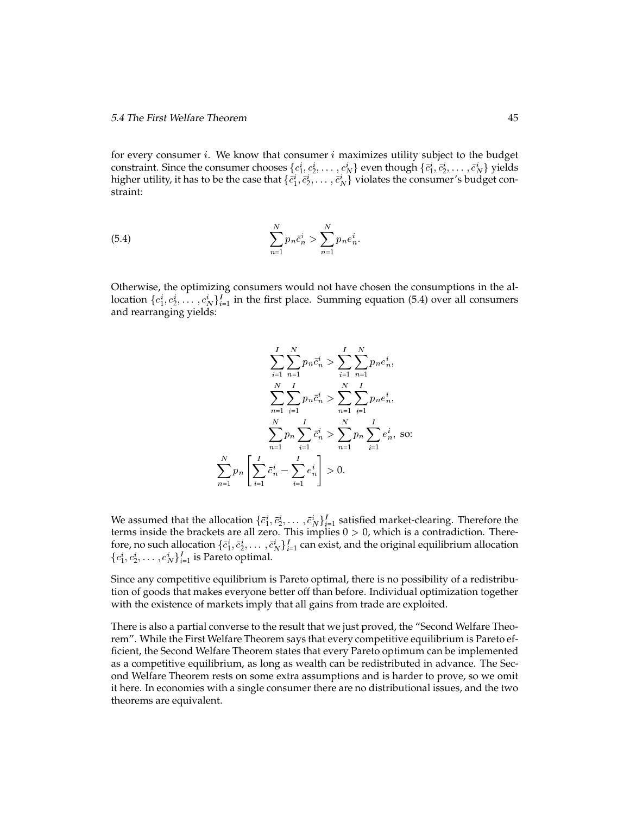#### 5.4 The First Welfare Theorem 45

for every consumer  $i$ . We know that consumer  $i$  maximizes utility subject to the budget constraint. Since the consumer chooses  $\{c_1^i, c_2^i, \ldots, c_N^i\}$  even though  $\{\bar{c}_1^i, \bar{c}_2^i, \ldots, \bar{c}_N^i\}$  yields higher utility, it has to be the case that  $\{\bar{c}_1^i,\bar{c}_2^i,\ldots,\bar{c}_N^i\}$  violates the consumer's budget constraint:

(5.4) 
$$
\sum_{n=1}^{N} p_n \bar{c}_n^i > \sum_{n=1}^{N} p_n e_n^i.
$$

Otherwise, the optimizing consumers would not have chosen the consumptions in the allocation  $\{c_1^i, c_2^i, \ldots, c_N^i\}_{i=1}^I$  in the first place. Summing equation (5.4) over all consumers and rearranging yields:

$$
\sum_{i=1}^{I} \sum_{n=1}^{N} p_n \bar{c}_n^i > \sum_{i=1}^{I} \sum_{n=1}^{N} p_n e_n^i,
$$
  

$$
\sum_{n=1}^{N} \sum_{i=1}^{I} p_n \bar{c}_n^i > \sum_{n=1}^{N} \sum_{i=1}^{I} p_n e_n^i,
$$
  

$$
\sum_{n=1}^{N} p_n \sum_{i=1}^{I} \bar{c}_n^i > \sum_{n=1}^{N} p_n \sum_{i=1}^{I} e_n^i,
$$
 so:  

$$
\sum_{n=1}^{N} p_n \left[ \sum_{i=1}^{I} \bar{c}_n^i - \sum_{i=1}^{I} e_n^i \right] > 0.
$$

We assumed that the allocation  $\{\bar{c}_1^i, \bar{c}_2^i, \ldots, \bar{c}_N^i\}_{i=1}^I$  satisfied market-clearing. Therefore the terms inside the brackets are all zero. This implies  $0 > 0$ , which is a contradiction. Therefore, no such allocation  $\{\bar{c}_1^i, \bar{c}_2^i, \ldots, \bar{c}_N^i\}_{i=1}^I$  can exist, and the original equilibrium allocation  $\{c_1^i, c_2^i, \ldots, c_N^i\}_{i=1}^I$  is Pareto optimal.

Since any competitive equilibrium is Pareto optimal, there is no possibility of a redistribution of goods that makes everyone better off than before. Individual optimization together with the existence of markets imply that all gains from trade are exploited.

There is also a partial converse to the result that we just proved, the "Second Welfare Theorem". While the First Welfare Theorem says that every competitive equilibrium is Pareto efficient, the Second Welfare Theorem states that every Pareto optimum can be implemented as a competitive equilibrium, as long as wealth can be redistributed in advance. The Second Welfare Theorem rests on some extra assumptions and is harder to prove, so we omit it here. In economies with a single consumer there are no distributional issues, and the two theorems are equivalent.